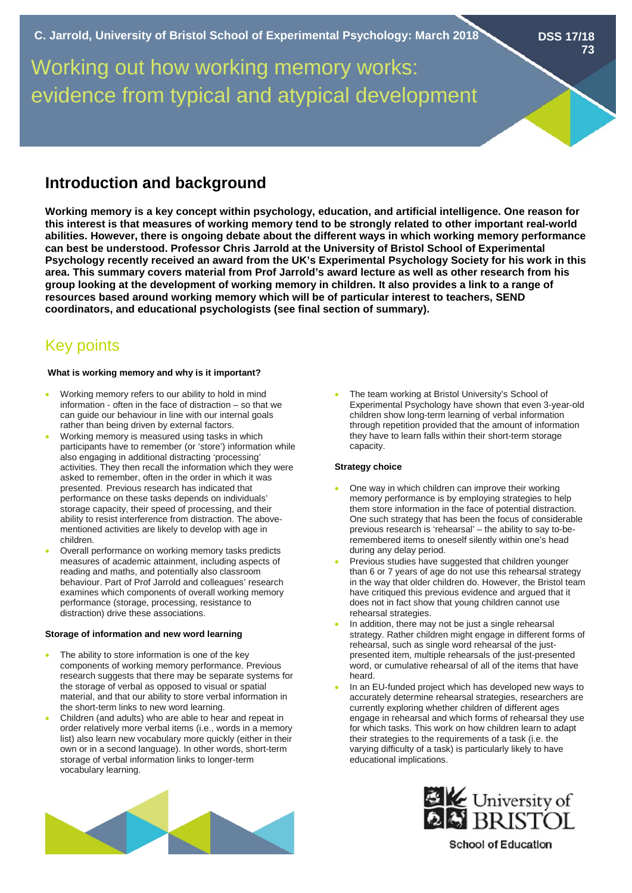**DSS 17/18 73**

# Working out how working memory works: evidence from typical and atypical development

# **Introduction and background**

**Working memory is a key concept within psychology, education, and artificial intelligence. One reason for this interest is that measures of working memory tend to be strongly related to other important real-world abilities. However, there is ongoing debate about the different ways in which working memory performance can best be understood. Professor Chris Jarrold at the University of Bristol School of Experimental Psychology recently received an award from the UK's Experimental Psychology Society for his work in this area. This summary covers material from Prof Jarrold's award lecture as well as other research from his group looking at the development of working memory in children. It also provides a link to a range of resources based around working memory which will be of particular interest to teachers, SEND coordinators, and educational psychologists (see final section of summary).**

# Key points

## **What is working memory and why is it important?**

- Working memory refers to our ability to hold in mind information - often in the face of distraction – so that we can guide our behaviour in line with our internal goals rather than being driven by external factors.
- Working memory is measured using tasks in which participants have to remember (or 'store') information while also engaging in additional distracting 'processing' activities. They then recall the information which they were asked to remember, often in the order in which it was presented. Previous research has indicated that performance on these tasks depends on individuals' storage capacity, their speed of processing, and their ability to resist interference from distraction. The abovementioned activities are likely to develop with age in children.
- Overall performance on working memory tasks predicts measures of academic attainment, including aspects of reading and maths, and potentially also classroom behaviour. Part of Prof Jarrold and colleagues' research examines which components of overall working memory performance (storage, processing, resistance to distraction) drive these associations.

## **Storage of information and new word learning**

- The ability to store information is one of the key components of working memory performance. Previous research suggests that there may be separate systems for the storage of verbal as opposed to visual or spatial material, and that our ability to store verbal information in the short-term links to new word learning.
- Children (and adults) who are able to hear and repeat in order relatively more verbal items (i.e., words in a memory list) also learn new vocabulary more quickly (either in their own or in a second language). In other words, short-term storage of verbal information links to longer-term vocabulary learning.

The team working at Bristol University's School of Experimental Psychology have shown that even 3-year-old children show long-term learning of verbal information through repetition provided that the amount of information they have to learn falls within their short-term storage capacity.

## **Strategy choice**

- One way in which children can improve their working memory performance is by employing strategies to help them store information in the face of potential distraction. One such strategy that has been the focus of considerable previous research is 'rehearsal' – the ability to say to-beremembered items to oneself silently within one's head during any delay period.
- Previous studies have suggested that children younger than 6 or 7 years of age do not use this rehearsal strategy in the way that older children do. However, the Bristol team have critiqued this previous evidence and argued that it does not in fact show that young children cannot use rehearsal strategies.
- In addition, there may not be just a single rehearsal strategy. Rather children might engage in different forms of rehearsal, such as single word rehearsal of the justpresented item, multiple rehearsals of the just-presented word, or cumulative rehearsal of all of the items that have heard.
- In an EU-funded project which has developed new ways to accurately determine rehearsal strategies, researchers are currently exploring whether children of different ages engage in rehearsal and which forms of rehearsal they use for which tasks. This work on how children learn to adapt their strategies to the requirements of a task (i.e. the varying difficulty of a task) is particularly likely to have educational implications.



**School of Education**